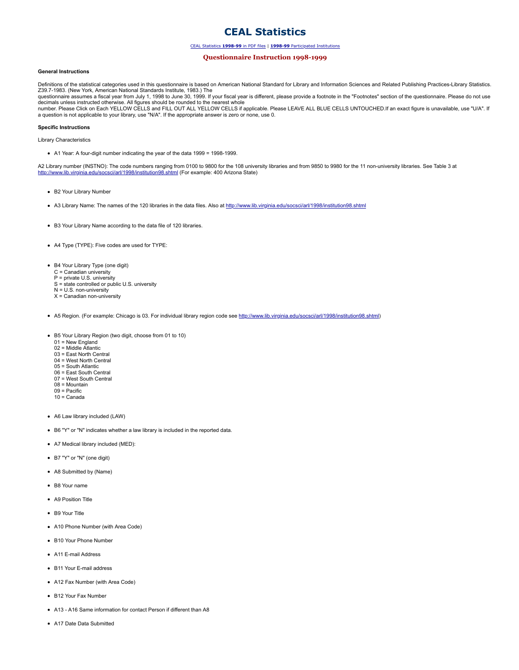# **CEAL Statistics**

## CEAL Statistics **1998-99** in PDF files | **1998-99** Participated Institutions

## **Questionnaire Instruction 1998-1999**

### **General Instructions**

Definitions of the statistical categories used in this questionnaire is based on American National Standard for Library and Information Sciences and Related Publishing Practices-Library Statistics.<br>Z39.7-1983. (New York, A questionnaire assumes a fiscal year from July 1, 1998 to June 30, 1999. If your fiscal year is different, please provide a footnote in the "Footnotes" section of the questionnaire. Please do not use decimals unless instructed otherwise. All figures should be rounded to the nearest whole<br>number. Please Click on Each YELLOW CELLS and FILL OUT ALL YELLOW CELLS if applicable. Please LEAVE ALL BLUE CELLS UNTOUCHED.If an ex

#### **Specific Instructions**

Library Characteristics

 $\bullet$  A1 Year: A four-digit number indicating the year of the data 1999 = 1998-1999.

A2 Library number (INSTNO): The code numbers ranging from 0100 to 9800 for the 108 university libraries and from 9850 to 9980 for the 11 non-university libraries. See Table 3 at http://www.lib.virginia.edu/socsci/arl/1998/institution98.shtml (For example: 400 Arizona State)

- B2 Your Library Number
- A3 Library Name: The names of the 120 libraries in the data files. Also at http://www.lib.virginia.edu/socsci/arl/1998/institution98.shtml
- B3 Your Library Name according to the data file of 120 libraries.
- A4 Type (TYPE): Five codes are used for TYPE:
- B4 Your Library Type (one digit)
- C = Canadian university P = private U.S. university
- S = state controlled or public U.S. university
- $N = U.S.$  non-university
- $X =$  Canadian non-university
- A5 Region. (For example: Chicago is 03. For individual library region code see http://www.lib.virginia.edu/socsci/arl/1998/institution98.shtml)
- B5 Your Library Region (two digit, choose from 01 to 10)
	- 01 = New England
	- 02 = Middle Atlantic 03 = East North Central
	- 04 = West North Central
	- 05 = South Atlantic
	- 06 = East South Central
	- 07 = West South Central 08 = Mountain
	- $09 = \text{Pacific}$
	- 10 = Canada
- A6 Law library included (LAW)
- B6 "Y" or "N" indicates whether a law library is included in the reported data.
- A7 Medical library included (MED):
- B7 "Y" or "N" (one digit)
- A8 Submitted by (Name)
- B8 Your name
- **A9 Position Title**
- B9 Your Title
- A10 Phone Number (with Area Code)
- B10 Your Phone Number
- A11 E-mail Address
- B11 Your E-mail address
- A12 Fax Number (with Area Code)
- B12 Your Fax Number
- A13 A16 Same information for contact Person if different than A8
- A17 Date Data Submitted